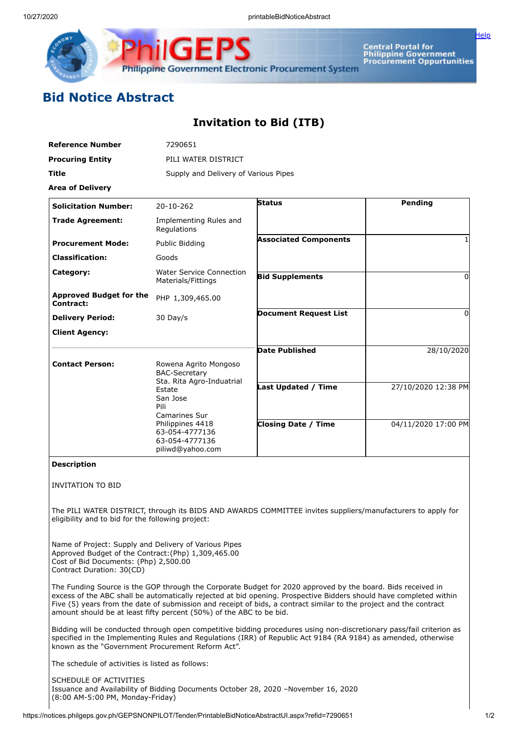

Central Portal for<br>Philippine Government<br>Procurement Oppurtunities

[Help](javascript:void(window.open()

## **Bid Notice Abstract**

## **Invitation to Bid (ITB)**

| <b>Reference Number</b>                                                                                                                                                            | 7290651                                                                  |                                                                                                             |                     |  |  |  |
|------------------------------------------------------------------------------------------------------------------------------------------------------------------------------------|--------------------------------------------------------------------------|-------------------------------------------------------------------------------------------------------------|---------------------|--|--|--|
| <b>Procuring Entity</b>                                                                                                                                                            | PILI WATER DISTRICT                                                      |                                                                                                             |                     |  |  |  |
| Title                                                                                                                                                                              | Supply and Delivery of Various Pipes                                     |                                                                                                             |                     |  |  |  |
| <b>Area of Delivery</b>                                                                                                                                                            |                                                                          |                                                                                                             |                     |  |  |  |
| <b>Solicitation Number:</b>                                                                                                                                                        | 20-10-262                                                                | <b>Status</b>                                                                                               | Pending             |  |  |  |
| <b>Trade Agreement:</b>                                                                                                                                                            | Implementing Rules and<br>Regulations                                    |                                                                                                             |                     |  |  |  |
| <b>Procurement Mode:</b>                                                                                                                                                           | Public Bidding                                                           | <b>Associated Components</b>                                                                                |                     |  |  |  |
| <b>Classification:</b>                                                                                                                                                             | Goods                                                                    |                                                                                                             |                     |  |  |  |
| Category:                                                                                                                                                                          | <b>Water Service Connection</b><br>Materials/Fittings                    | <b>Bid Supplements</b>                                                                                      | $\Omega$            |  |  |  |
| <b>Approved Budget for the</b><br>Contract:                                                                                                                                        | PHP 1,309,465.00                                                         |                                                                                                             |                     |  |  |  |
| <b>Delivery Period:</b>                                                                                                                                                            | 30 Day/s                                                                 | <b>Document Request List</b>                                                                                | 0                   |  |  |  |
| <b>Client Agency:</b>                                                                                                                                                              |                                                                          |                                                                                                             |                     |  |  |  |
|                                                                                                                                                                                    |                                                                          | <b>Date Published</b>                                                                                       | 28/10/2020          |  |  |  |
| <b>Contact Person:</b>                                                                                                                                                             | Rowena Agrito Mongoso                                                    |                                                                                                             |                     |  |  |  |
|                                                                                                                                                                                    | <b>BAC-Secretary</b><br>Sta. Rita Agro-Induatrial                        |                                                                                                             |                     |  |  |  |
|                                                                                                                                                                                    | Estate<br>San Jose<br>Pili<br>Camarines Sur                              | <b>Last Updated / Time</b>                                                                                  | 27/10/2020 12:38 PM |  |  |  |
|                                                                                                                                                                                    | Philippines 4418<br>63-054-4777136<br>63-054-4777136<br>piliwd@yahoo.com | <b>Closing Date / Time</b>                                                                                  | 04/11/2020 17:00 PM |  |  |  |
| <b>Description</b>                                                                                                                                                                 |                                                                          |                                                                                                             |                     |  |  |  |
| <b>INVITATION TO BID</b>                                                                                                                                                           |                                                                          |                                                                                                             |                     |  |  |  |
| eligibility and to bid for the following project:                                                                                                                                  |                                                                          | The PILI WATER DISTRICT, through its BIDS AND AWARDS COMMITTEE invites suppliers/manufacturers to apply for |                     |  |  |  |
| Name of Project: Supply and Delivery of Various Pipes<br>Approved Budget of the Contract: (Php) 1,309,465.00<br>Cost of Bid Documents: (Php) 2,500.00<br>Contract Duration: 30(CD) |                                                                          |                                                                                                             |                     |  |  |  |
|                                                                                                                                                                                    |                                                                          | The Eunding Course is the COB through the Corporate Budget for 2020 approved by the beard. Bide resolved in |                     |  |  |  |

The Funding Source is the GOP through the Corporate Budget for 2020 approved by the board. Bids received in excess of the ABC shall be automatically rejected at bid opening. Prospective Bidders should have completed within Five (5) years from the date of submission and receipt of bids, a contract similar to the project and the contract amount should be at least fifty percent (50%) of the ABC to be bid.

Bidding will be conducted through open competitive bidding procedures using non-discretionary pass/fail criterion as specified in the Implementing Rules and Regulations (IRR) of Republic Act 9184 (RA 9184) as amended, otherwise known as the "Government Procurement Reform Act".

The schedule of activities is listed as follows:

SCHEDULE OF ACTIVITIES Issuance and Availability of Bidding Documents October 28, 2020 –November 16, 2020 (8:00 AM-5:00 PM, Monday-Friday)